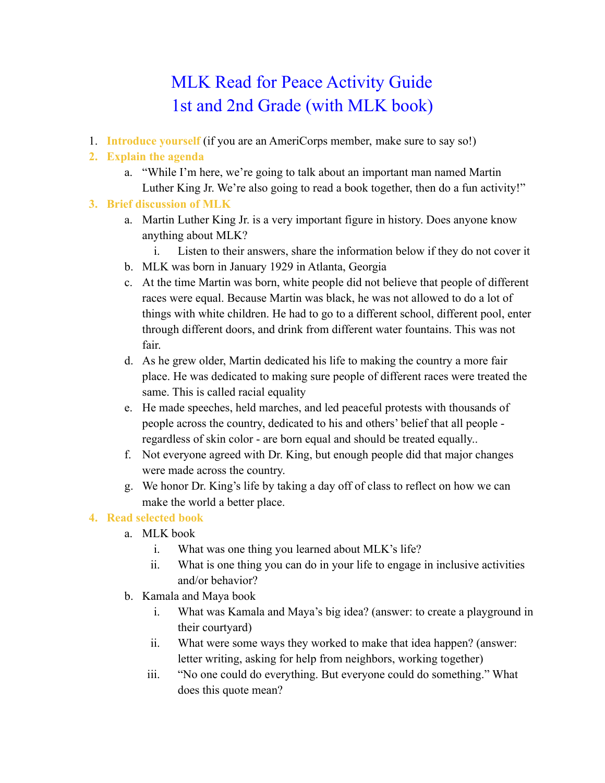# MLK Read for Peace Activity Guide 1st and 2nd Grade (with MLK book)

1. **Introduce yourself** (if you are an AmeriCorps member, make sure to say so!)

# **2. Explain the agenda**

a. "While I'm here, we're going to talk about an important man named Martin Luther King Jr. We're also going to read a book together, then do a fun activity!"

### **3. Brief discussion of MLK**

- a. Martin Luther King Jr. is a very important figure in history. Does anyone know anything about MLK?
	- i. Listen to their answers, share the information below if they do not cover it
- b. MLK was born in January 1929 in Atlanta, Georgia
- c. At the time Martin was born, white people did not believe that people of different races were equal. Because Martin was black, he was not allowed to do a lot of things with white children. He had to go to a different school, different pool, enter through different doors, and drink from different water fountains. This was not fair.
- d. As he grew older, Martin dedicated his life to making the country a more fair place. He was dedicated to making sure people of different races were treated the same. This is called racial equality
- e. He made speeches, held marches, and led peaceful protests with thousands of people across the country, dedicated to his and others' belief that all people regardless of skin color - are born equal and should be treated equally..
- f. Not everyone agreed with Dr. King, but enough people did that major changes were made across the country.
- g. We honor Dr. King's life by taking a day off of class to reflect on how we can make the world a better place.

# **4. Read selected book**

- a. MLK book
	- i. What was one thing you learned about MLK's life?
	- ii. What is one thing you can do in your life to engage in inclusive activities and/or behavior?
- b. Kamala and Maya book
	- i. What was Kamala and Maya's big idea? (answer: to create a playground in their courtyard)
	- ii. What were some ways they worked to make that idea happen? (answer: letter writing, asking for help from neighbors, working together)
	- iii. "No one could do everything. But everyone could do something." What does this quote mean?